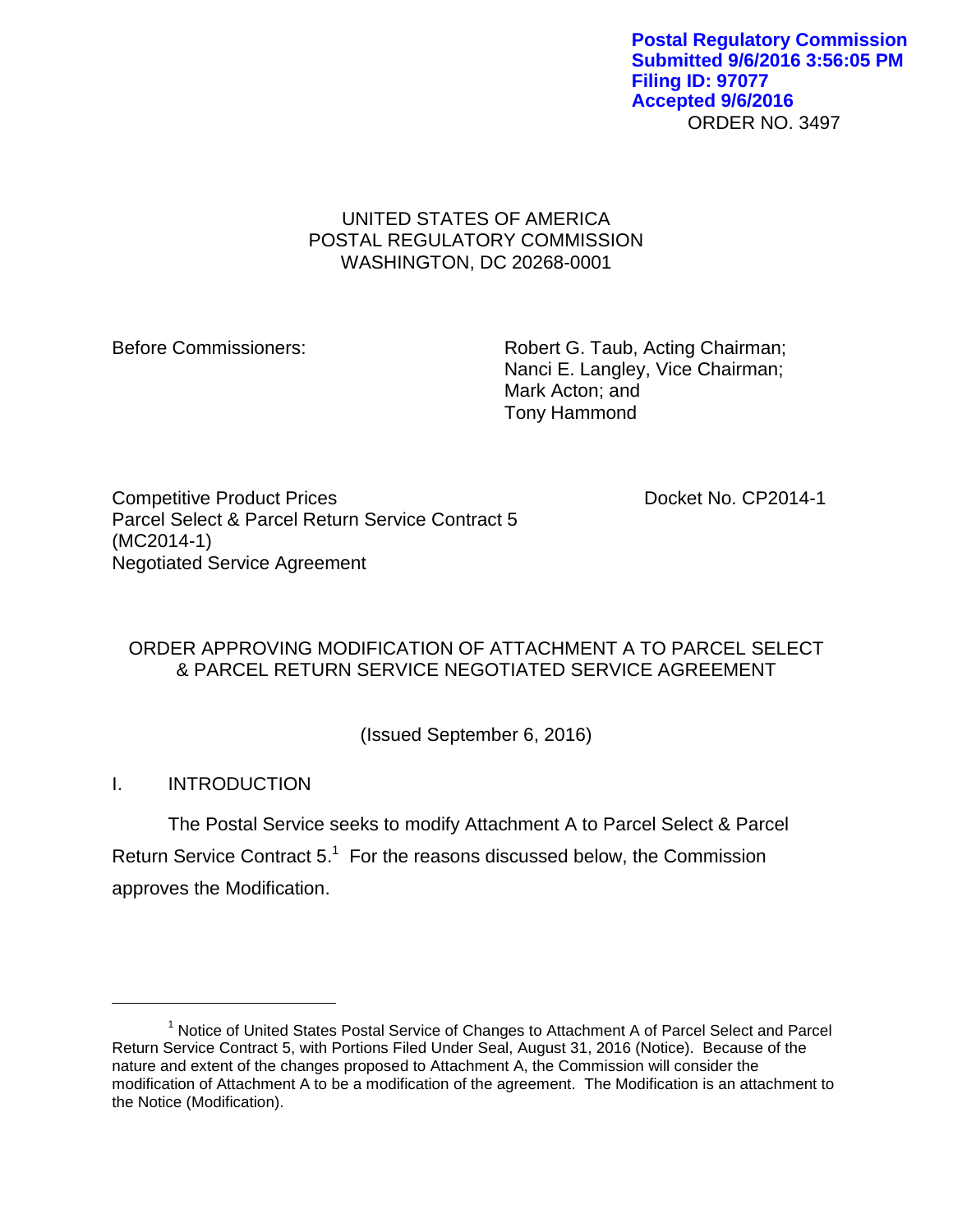ORDER NO. 3497 **Postal Regulatory Commission Submitted 9/6/2016 3:56:05 PM Filing ID: 97077 Accepted 9/6/2016**

# UNITED STATES OF AMERICA POSTAL REGULATORY COMMISSION WASHINGTON, DC 20268-0001

Before Commissioners: Robert G. Taub, Acting Chairman; Nanci E. Langley, Vice Chairman; Mark Acton; and Tony Hammond

Competitive Product Prices **Docket No. CP2014-1** Parcel Select & Parcel Return Service Contract 5 (MC2014-1) Negotiated Service Agreement

# ORDER APPROVING MODIFICATION OF ATTACHMENT A TO PARCEL SELECT & PARCEL RETURN SERVICE NEGOTIATED SERVICE AGREEMENT

(Issued September 6, 2016)

I. INTRODUCTION

 $\overline{a}$ 

The Postal Service seeks to modify Attachment A to Parcel Select & Parcel Return Service Contract  $5.^1$  For the reasons discussed below, the Commission approves the Modification.

<sup>1</sup> Notice of United States Postal Service of Changes to Attachment A of Parcel Select and Parcel Return Service Contract 5, with Portions Filed Under Seal, August 31, 2016 (Notice). Because of the nature and extent of the changes proposed to Attachment A, the Commission will consider the modification of Attachment A to be a modification of the agreement. The Modification is an attachment to the Notice (Modification).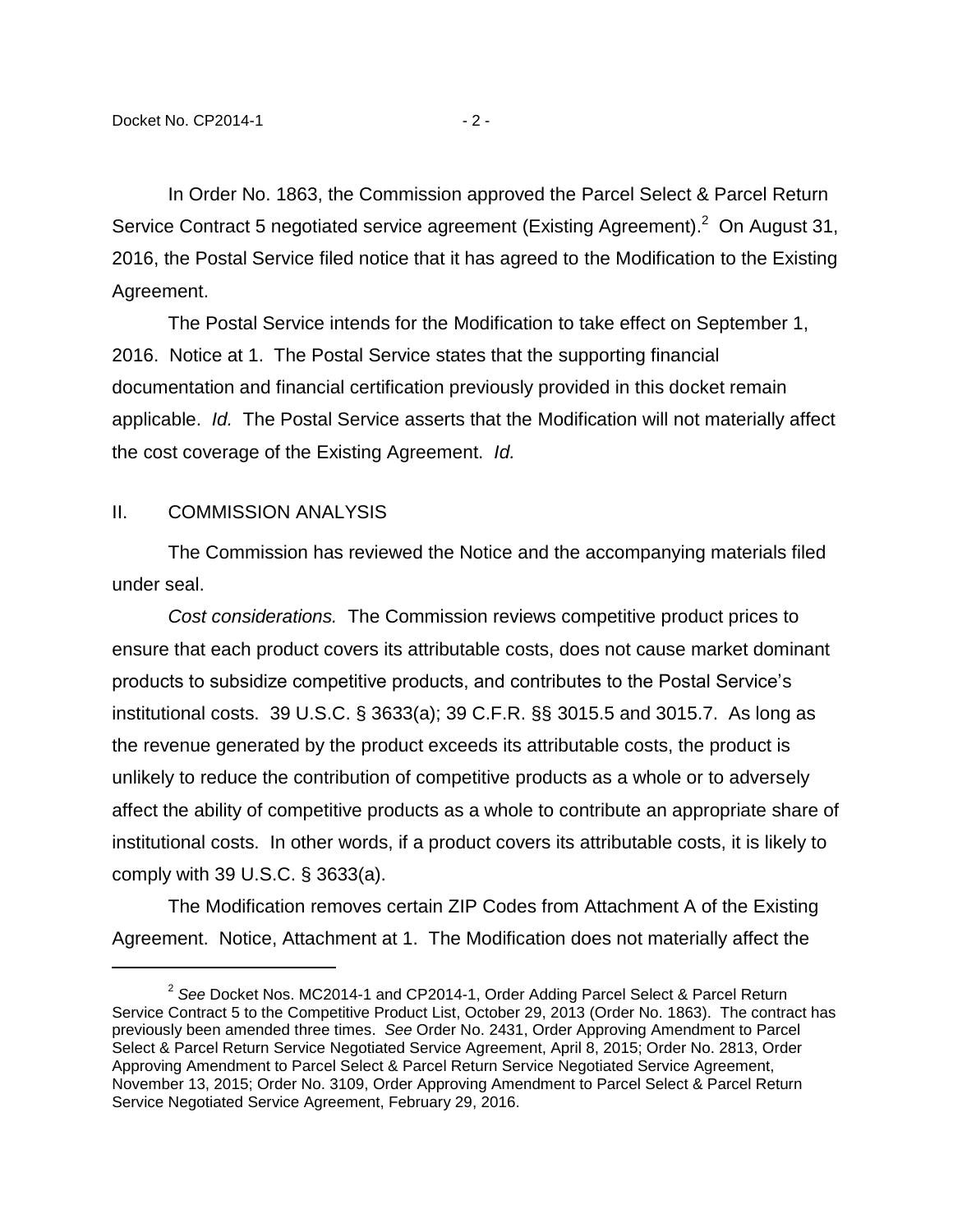In Order No. 1863, the Commission approved the Parcel Select & Parcel Return Service Contract 5 negotiated service agreement (Existing Agreement). $^2$  On August 31, 2016, the Postal Service filed notice that it has agreed to the Modification to the Existing Agreement.

The Postal Service intends for the Modification to take effect on September 1, 2016. Notice at 1. The Postal Service states that the supporting financial documentation and financial certification previously provided in this docket remain applicable. *Id.* The Postal Service asserts that the Modification will not materially affect the cost coverage of the Existing Agreement. *Id.*

#### II. COMMISSION ANALYSIS

 $\overline{a}$ 

The Commission has reviewed the Notice and the accompanying materials filed under seal.

*Cost considerations.* The Commission reviews competitive product prices to ensure that each product covers its attributable costs, does not cause market dominant products to subsidize competitive products, and contributes to the Postal Service's institutional costs. 39 U.S.C. § 3633(a); 39 C.F.R. §§ 3015.5 and 3015.7. As long as the revenue generated by the product exceeds its attributable costs, the product is unlikely to reduce the contribution of competitive products as a whole or to adversely affect the ability of competitive products as a whole to contribute an appropriate share of institutional costs. In other words, if a product covers its attributable costs, it is likely to comply with 39 U.S.C. § 3633(a).

The Modification removes certain ZIP Codes from Attachment A of the Existing Agreement. Notice, Attachment at 1. The Modification does not materially affect the

<sup>2</sup> *See* Docket Nos. MC2014-1 and CP2014-1, Order Adding Parcel Select & Parcel Return Service Contract 5 to the Competitive Product List, October 29, 2013 (Order No. 1863). The contract has previously been amended three times. *See* Order No. 2431, Order Approving Amendment to Parcel Select & Parcel Return Service Negotiated Service Agreement, April 8, 2015; Order No. 2813, Order Approving Amendment to Parcel Select & Parcel Return Service Negotiated Service Agreement, November 13, 2015; Order No. 3109, Order Approving Amendment to Parcel Select & Parcel Return Service Negotiated Service Agreement, February 29, 2016.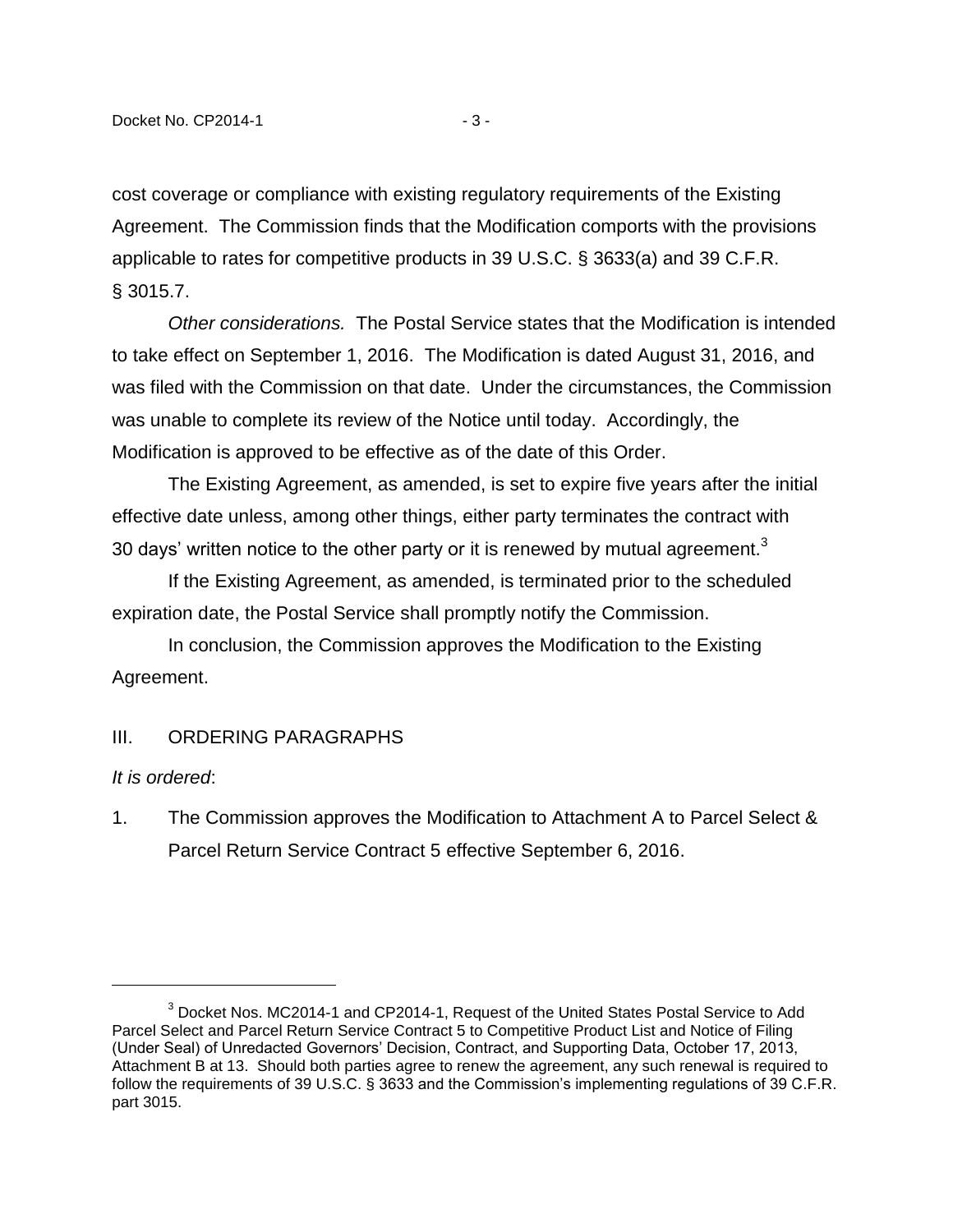cost coverage or compliance with existing regulatory requirements of the Existing Agreement. The Commission finds that the Modification comports with the provisions applicable to rates for competitive products in 39 U.S.C. § 3633(a) and 39 C.F.R. § 3015.7.

*Other considerations.* The Postal Service states that the Modification is intended to take effect on September 1, 2016. The Modification is dated August 31, 2016, and was filed with the Commission on that date. Under the circumstances, the Commission was unable to complete its review of the Notice until today. Accordingly, the Modification is approved to be effective as of the date of this Order.

The Existing Agreement, as amended, is set to expire five years after the initial effective date unless, among other things, either party terminates the contract with 30 days' written notice to the other party or it is renewed by mutual agreement.<sup>3</sup>

If the Existing Agreement, as amended, is terminated prior to the scheduled expiration date, the Postal Service shall promptly notify the Commission.

In conclusion, the Commission approves the Modification to the Existing Agreement.

## III. ORDERING PARAGRAPHS

## *It is ordered*:

 $\overline{a}$ 

1. The Commission approves the Modification to Attachment A to Parcel Select & Parcel Return Service Contract 5 effective September 6, 2016.

 $3$  Docket Nos. MC2014-1 and CP2014-1, Request of the United States Postal Service to Add Parcel Select and Parcel Return Service Contract 5 to Competitive Product List and Notice of Filing (Under Seal) of Unredacted Governors' Decision, Contract, and Supporting Data, October 17, 2013, Attachment B at 13. Should both parties agree to renew the agreement, any such renewal is required to follow the requirements of 39 U.S.C. § 3633 and the Commission's implementing regulations of 39 C.F.R. part 3015.